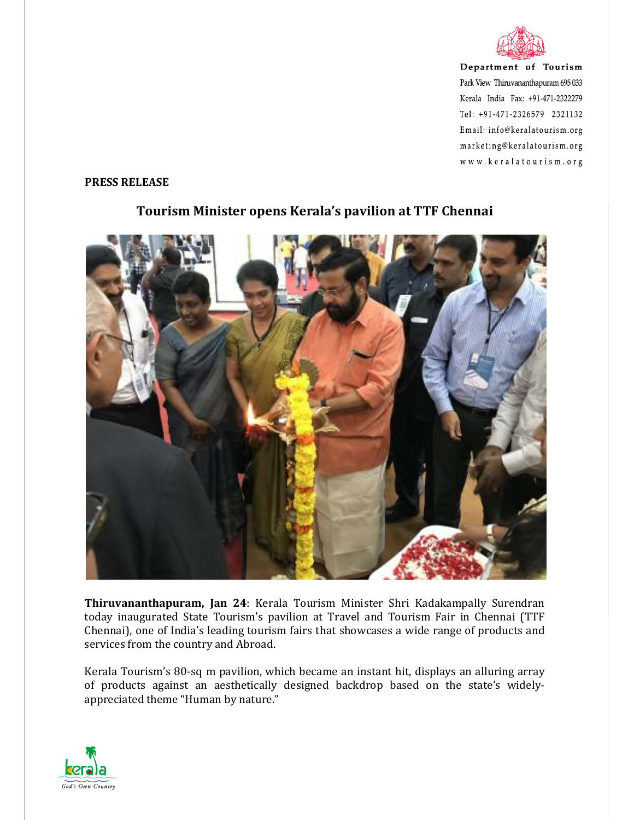

Department of Tourism Park View Thiruvananthapuram 695 033 Kerala India Fax: +91-471-2322279 Tel: +91-471-2326579 2321132 Email: info@keralatourism.org marketing@keralatourism.org www.keralatourism.org

## **PRESS RELEASE**



## **Tourism Minister opens Kerala's pavilion at TTF Chennai**

**Thiruvananthapuram, Jan 24**: Kerala Tourism Minister Shri Kadakampally Surendran today inaugurated State Tourism's pavilion at Travel and Tourism Fair in Chennai (TTF Chennai), one of India's leading tourism fairs that showcases a wide range of products and services from the country and Abroad.

Kerala Tourism's 80-sq m pavilion, which became an instant hit, displays an alluring array of products against an aesthetically designed backdrop based on the state's widelyappreciated theme "Human by nature."